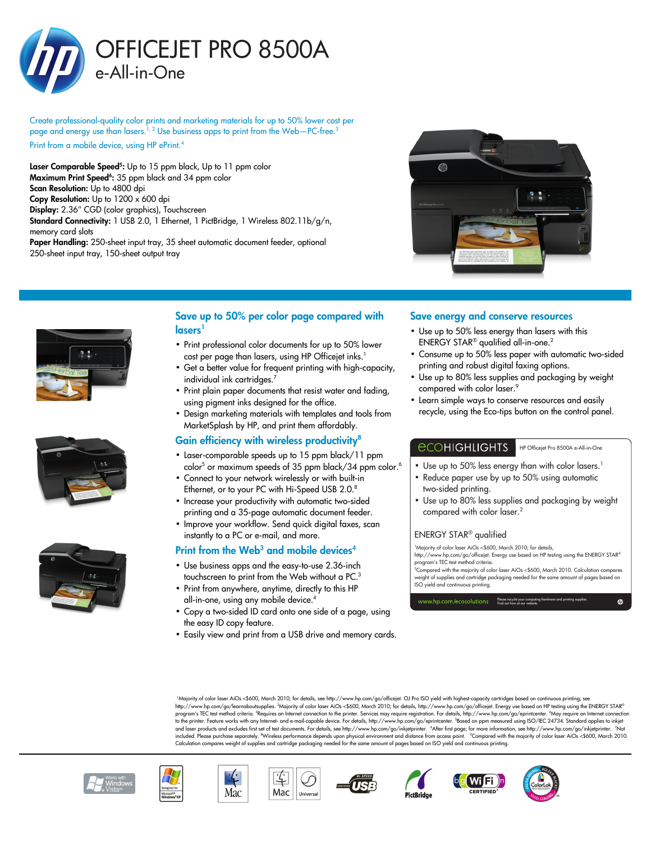

Create professional-quality color prints and marketing materials for up to 50% lower cost per page and energy use than lasers.<sup>1, 2</sup> Use business apps to print from the Web—PC-free.<sup>3</sup>

Print from a mobile device, using HP ePrint.<sup>4</sup>

**Laser Comparable Speed<sup>5</sup>:** Up to 15 ppm black, Up to 11 ppm color Maximum Print Speed<sup>6</sup>: 35 ppm black and 34 ppm color Scan Resolution: Up to 4800 dpi Copy Resolution: Up to 1200 x 600 dpi Display: 2.36" CGD (color graphics), Touchscreen Standard Connectivity: 1 USB 2.0, 1 Ethernet, 1 PictBridge, 1 Wireless 802.11b/g/n, memory card slots Paper Handling: 250-sheet input tray, 35 sheet automatic document feeder, optional 250-sheet input tray, 150-sheet output tray









## Save up to 50% per color page compared with lasers<sup>1</sup>

- Print professional color documents for up to 50% lower cost per page than lasers, using HP Officejet inks.<sup>1</sup>
- Get a better value for frequent printing with high-capacity, individual ink cartridges.<sup>7</sup>
- Print plain paper documents that resist water and fading, using pigment inks designed for the office.
- Design marketing materials with templates and tools from MarketSplash by HP, and print them affordably.

## Gain efficiency with wireless productivity<sup>8</sup>

- Laser-comparable speeds up to 15 ppm black/11 ppm color<sup>5</sup> or maximum speeds of 35 ppm black/34 ppm color.<sup>6</sup>
- Connect to your network wirelessly or with built-in Ethernet, or to your PC with Hi-Speed USB 2.0.<sup>8</sup>
- Increase your productivity with automatic two-sided printing and a 35-page automatic document feeder.
- Improve your workflow. Send quick digital faxes, scan instantly to a PC or e-mail, and more.

## Print from the Web<sup>3</sup> and mobile devices<sup>4</sup>

- Use business apps and the easy-to-use 2.36-inch touchscreen to print from the Web without a PC.<sup>3</sup>
- Print from anywhere, anytime, directly to this HP all-in-one, using any mobile device.<sup>4</sup>
- Copy a two-sided ID card onto one side of a page, using the easy ID copy feature.
- Easily view and print from a USB drive and memory cards.

#### Save energy and conserve resources

- Use up to 50% less energy than lasers with this ENERGY STAR® qualified all-in-one.<sup>2</sup>
- Consume up to 50% less paper with automatic two-sided printing and robust digital faxing options.
- Use up to 80% less supplies and packaging by weight compared with color laser.<sup>9</sup>
- Learn simple ways to conserve resources and easily recycle, using the Eco-tips button on the control panel.

### *<u>ECOHIGHLIGHTS</u>*

• Use up to 50% less energy than with color lasers.<sup>1</sup>

HP Officejet Pro 8500A e-All-in-One

- Reduce paper use by up to 50% using automatic two-sided printing.
- Use up to 80% less supplies and packaging by weight compared with color laser.<sup>2</sup>

#### ENERGY STAR® qualified

<sup>1</sup>Majority of color laser AiOs <\$600, March 2010; for details, http://www.hp.com/go/officejet. Energy use based on HP testing using the ENERGY STAR® program's TEC test method criteria.

<sup>2</sup>Compared with the majority of color laser AiOs <\$600, March 2010. Calculation compares weight of supplies and cartridge packaging needed for the same amount of pages based on ISO yield and continuous printing.

Find out how at our website.

Please recycle your computing hardware and printing supplies.

<sup>1</sup>Majority of color laser AiOs <\$600, March 2010; for details, see http://www.hp.com/go/officejet. OJ Pro ISO yield with highest-capacity cartridges based on continuous printing; see http://www.hp.com/go/learnaboutsupplies. <sup>2</sup>Majority of color laser AiOs <\$600, March 2010; for details, http://www.hp.com/go/officejet. Energy use based on HP testing using the ENERGY STAR® program's TEC test method criteria. <sup>3</sup>Requires an Internet connection to the printer. Services may require registration. For details, http://www.hp.com/go/eprintcenter. 1May require an Internet connection<br>to the printer. included. Please purchase separately. ®Wireless performance depends upon physical environment and distance from access point. ®Compared with the majority of color laser AiOs <\$600, March 2010.<br>Calculation compares weight







Mac